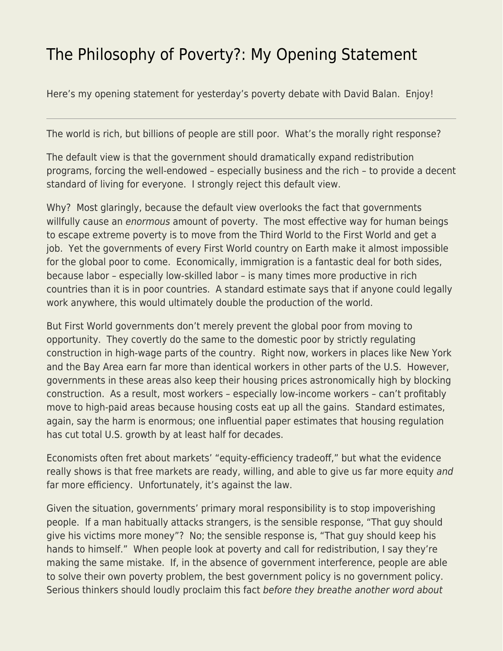## [The Philosophy of Poverty?: My Opening Statement](https://everything-voluntary.com/the-philosophy-of-poverty-my-opening-statement)

Here's my opening statement for yesterday's poverty debate with David Balan. Enjoy!

The world is rich, but billions of people are still poor. What's the morally right response?

The default view is that the government should dramatically expand redistribution programs, forcing the well-endowed – especially business and the rich – to provide a decent standard of living for everyone. I strongly reject this default view.

Why? Most glaringly, because the default view overlooks the fact that governments willfully cause an enormous amount of poverty. The most effective way for human beings to escape extreme poverty is to move from the Third World to the First World and get a job. Yet the governments of every First World country on Earth make it almost impossible for the global poor to come. Economically, immigration is a fantastic deal for both sides, because labor – especially low-skilled labor – is many times more productive in rich countries than it is in poor countries. A standard estimate says that if anyone could legally work anywhere, this would ultimately double the production of the world.

But First World governments don't merely prevent the global poor from moving to opportunity. They covertly do the same to the domestic poor by strictly regulating construction in high-wage parts of the country. Right now, workers in places like New York and the Bay Area earn far more than identical workers in other parts of the U.S. However, governments in these areas also keep their housing prices astronomically high by blocking construction. As a result, most workers – especially low-income workers – can't profitably move to high-paid areas because housing costs eat up all the gains. Standard estimates, again, say the harm is enormous; one influential paper estimates that housing regulation has cut total U.S. growth by at least half for decades.

Economists often fret about markets' "equity-efficiency tradeoff," but what the evidence really shows is that free markets are ready, willing, and able to give us far more equity and far more efficiency. Unfortunately, it's against the law.

Given the situation, governments' primary moral responsibility is to stop impoverishing people. If a man habitually attacks strangers, is the sensible response, "That guy should give his victims more money"? No; the sensible response is, "That guy should keep his hands to himself." When people look at poverty and call for redistribution, I say they're making the same mistake. If, in the absence of government interference, people are able to solve their own poverty problem, the best government policy is no government policy. Serious thinkers should loudly proclaim this fact before they breathe another word about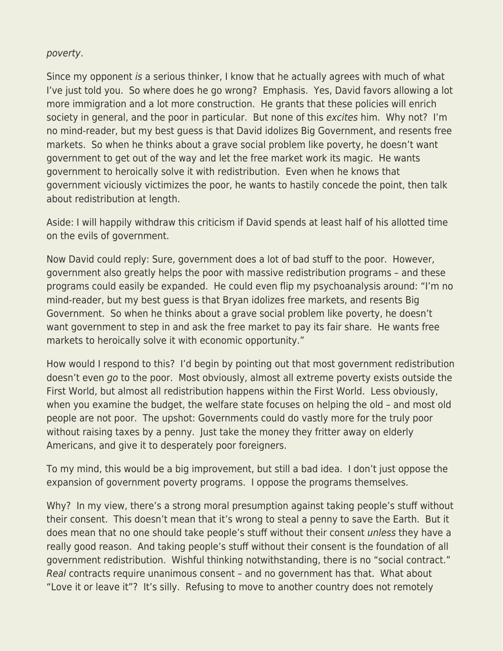## poverty.

Since my opponent is a serious thinker, I know that he actually agrees with much of what I've just told you. So where does he go wrong? Emphasis. Yes, David favors allowing a lot more immigration and a lot more construction. He grants that these policies will enrich society in general, and the poor in particular. But none of this excites him. Why not? I'm no mind-reader, but my best guess is that David idolizes Big Government, and resents free markets. So when he thinks about a grave social problem like poverty, he doesn't want government to get out of the way and let the free market work its magic. He wants government to heroically solve it with redistribution. Even when he knows that government viciously victimizes the poor, he wants to hastily concede the point, then talk about redistribution at length.

Aside: I will happily withdraw this criticism if David spends at least half of his allotted time on the evils of government.

Now David could reply: Sure, government does a lot of bad stuff to the poor. However, government also greatly helps the poor with massive redistribution programs – and these programs could easily be expanded. He could even flip my psychoanalysis around: "I'm no mind-reader, but my best guess is that Bryan idolizes free markets, and resents Big Government. So when he thinks about a grave social problem like poverty, he doesn't want government to step in and ask the free market to pay its fair share. He wants free markets to heroically solve it with economic opportunity."

How would I respond to this? I'd begin by pointing out that most government redistribution doesn't even go to the poor. Most obviously, almost all extreme poverty exists outside the First World, but almost all redistribution happens within the First World. Less obviously, when you examine the budget, the welfare state focuses on helping the old – and most old people are not poor. The upshot: Governments could do vastly more for the truly poor without raising taxes by a penny. Just take the money they fritter away on elderly Americans, and give it to desperately poor foreigners.

To my mind, this would be a big improvement, but still a bad idea. I don't just oppose the expansion of government poverty programs. I oppose the programs themselves.

Why? In my view, there's a strong moral presumption against taking people's stuff without their consent. This doesn't mean that it's wrong to steal a penny to save the Earth. But it does mean that no one should take people's stuff without their consent *unless* they have a really good reason. And taking people's stuff without their consent is the foundation of all government redistribution. Wishful thinking notwithstanding, there is no "social contract." Real contracts require unanimous consent – and no government has that. What about "Love it or leave it"? It's silly. Refusing to move to another country does not remotely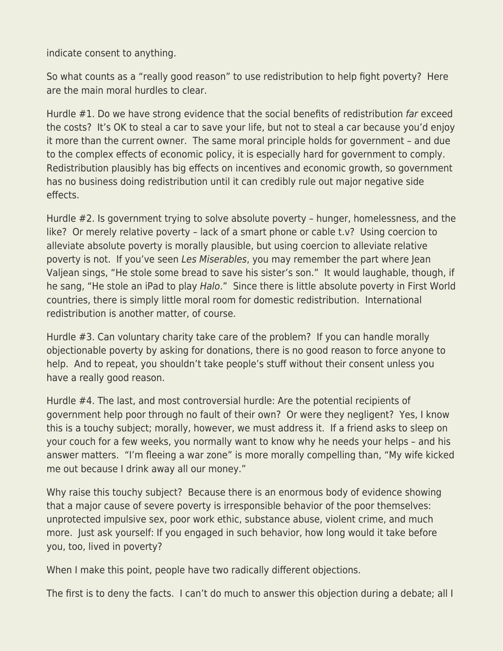indicate consent to anything.

So what counts as a "really good reason" to use redistribution to help fight poverty? Here are the main moral hurdles to clear.

Hurdle #1. Do we have strong evidence that the social benefits of redistribution far exceed the costs? It's OK to steal a car to save your life, but not to steal a car because you'd enjoy it more than the current owner. The same moral principle holds for government – and due to the complex effects of economic policy, it is especially hard for government to comply. Redistribution plausibly has big effects on incentives and economic growth, so government has no business doing redistribution until it can credibly rule out major negative side effects.

Hurdle #2. Is government trying to solve absolute poverty – hunger, homelessness, and the like? Or merely relative poverty – lack of a smart phone or cable t.v? Using coercion to alleviate absolute poverty is morally plausible, but using coercion to alleviate relative poverty is not. If you've seen Les Miserables, you may remember the part where Jean Valjean sings, "He stole some bread to save his sister's son." It would laughable, though, if he sang, "He stole an iPad to play Halo." Since there is little absolute poverty in First World countries, there is simply little moral room for domestic redistribution. International redistribution is another matter, of course.

Hurdle #3. Can voluntary charity take care of the problem? If you can handle morally objectionable poverty by asking for donations, there is no good reason to force anyone to help. And to repeat, you shouldn't take people's stuff without their consent unless you have a really good reason.

Hurdle #4. The last, and most controversial hurdle: Are the potential recipients of government help poor through no fault of their own? Or were they negligent? Yes, I know this is a touchy subject; morally, however, we must address it. If a friend asks to sleep on your couch for a few weeks, you normally want to know why he needs your helps – and his answer matters. "I'm fleeing a war zone" is more morally compelling than, "My wife kicked me out because I drink away all our money."

Why raise this touchy subject? Because there is an enormous body of evidence showing that a major cause of severe poverty is irresponsible behavior of the poor themselves: unprotected impulsive sex, poor work ethic, substance abuse, violent crime, and much more. Just ask yourself: If you engaged in such behavior, how long would it take before you, too, lived in poverty?

When I make this point, people have two radically different objections.

The first is to deny the facts. I can't do much to answer this objection during a debate; all I